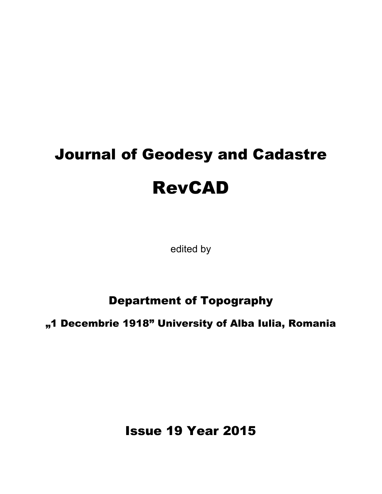## Journal of Geodesy and Cadastre RevCAD

edited by

## Department of Topography

"1 Decembrie 1918" University of Alba Iulia, Romania

Issue 19 Year 2015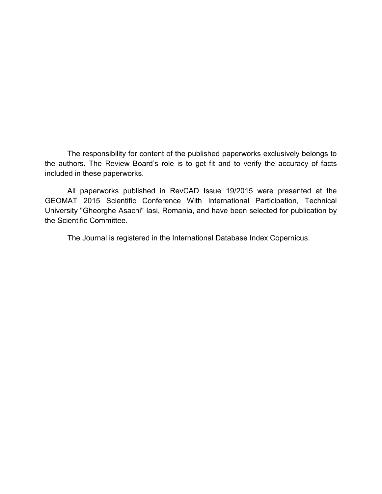The responsibility for content of the published paperworks exclusively belongs to the authors. The Review Board's role is to get fit and to verify the accuracy of facts included in these paperworks.

All paperworks published in RevCAD Issue 19/2015 were presented at the GEOMAT 2015 Scientific Conference With International Participation, Technical University "Gheorghe Asachi" Iasi, Romania, and have been selected for publication by the Scientific Committee.

The Journal is registered in the International Database Index Copernicus.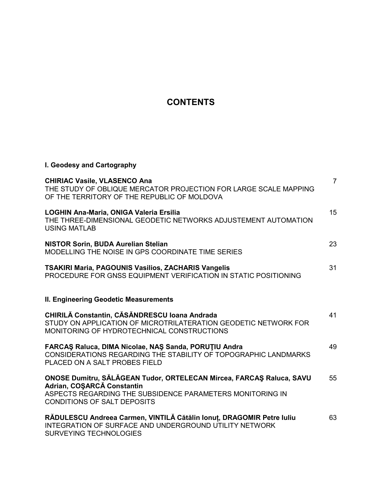## **CONTENTS**

| I. Geodesy and Cartography                                                                                                                                                                            |                |
|-------------------------------------------------------------------------------------------------------------------------------------------------------------------------------------------------------|----------------|
| <b>CHIRIAC Vasile, VLASENCO Ana</b><br>THE STUDY OF OBLIQUE MERCATOR PROJECTION FOR LARGE SCALE MAPPING<br>OF THE TERRITORY OF THE REPUBLIC OF MOLDOVA                                                | $\overline{7}$ |
| LOGHIN Ana-Maria, ONIGA Valeria Ersilia<br>THE THREE-DIMENSIONAL GEODETIC NETWORKS ADJUSTEMENT AUTOMATION<br><b>USING MATLAB</b>                                                                      | 15             |
| <b>NISTOR Sorin, BUDA Aurelian Stelian</b><br>MODELLING THE NOISE IN GPS COORDINATE TIME SERIES                                                                                                       | 23             |
| <b>TSAKIRI Maria, PAGOUNIS Vasilios, ZACHARIS Vangelis</b><br>PROCEDURE FOR GNSS EQUIPMENT VERIFICATION IN STATIC POSITIONING                                                                         | 31             |
| <b>II. Engineering Geodetic Measurements</b>                                                                                                                                                          |                |
| CHIRILĂ Constantin, CĂSĂNDRESCU Ioana Andrada<br>STUDY ON APPLICATION OF MICROTRILATERATION GEODETIC NETWORK FOR<br>MONITORING OF HYDROTECHNICAL CONSTRUCTIONS                                        | 41             |
| FARCAS Raluca, DIMA Nicolae, NAS Sanda, PORUTIU Andra<br>CONSIDERATIONS REGARDING THE STABILITY OF TOPOGRAPHIC LANDMARKS<br>PLACED ON A SALT PROBES FIELD                                             | 49             |
| ONOSE Dumitru, SĂLĂGEAN Tudor, ORTELECAN Mircea, FARCAȘ Raluca, SAVU<br>Adrian, COSARCĂ Constantin<br>ASPECTS REGARDING THE SUBSIDENCE PARAMETERS MONITORING IN<br><b>CONDITIONS OF SALT DEPOSITS</b> | 55             |
| RĂDULESCU Andreea Carmen, VINTILĂ Cătălin Ionut, DRAGOMIR Petre Iuliu<br>INTEGRATION OF SURFACE AND UNDERGROUND UTILITY NETWORK<br><b>SURVEYING TECHNOLOGIES</b>                                      | 63             |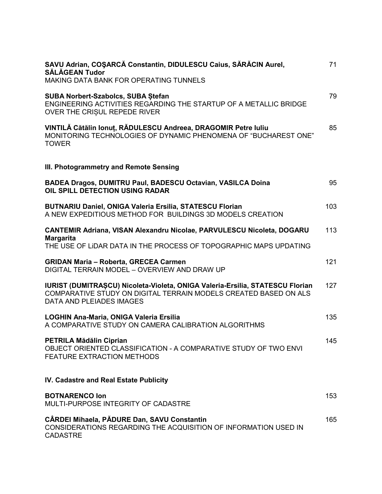| SAVU Adrian, COŞARCĂ Constantin, DIDULESCU Caius, SĂRĂCIN Aurel,<br>SĂLĂGEAN Tudor<br><b>MAKING DATA BANK FOR OPERATING TUNNELS</b>                                           | 71  |
|-------------------------------------------------------------------------------------------------------------------------------------------------------------------------------|-----|
| SUBA Norbert-Szabolcs, SUBA Stefan<br>ENGINEERING ACTIVITIES REGARDING THE STARTUP OF A METALLIC BRIDGE<br>OVER THE CRISUL REPEDE RIVER                                       | 79  |
| VINTILĂ Cătălin Ionuț, RĂDULESCU Andreea, DRAGOMIR Petre Iuliu<br>MONITORING TECHNOLOGIES OF DYNAMIC PHENOMENA OF "BUCHAREST ONE"<br><b>TOWER</b>                             | 85  |
| III. Photogrammetry and Remote Sensing                                                                                                                                        |     |
| BADEA Dragos, DUMITRU Paul, BADESCU Octavian, VASILCA Doina<br>OIL SPILL DETECTION USING RADAR                                                                                | 95  |
| BUTNARIU Daniel, ONIGA Valeria Ersilia, STATESCU Florian<br>A NEW EXPEDITIOUS METHOD FOR BUILDINGS 3D MODELS CREATION                                                         | 103 |
| <b>CANTEMIR Adriana, VISAN Alexandru Nicolae, PARVULESCU Nicoleta, DOGARU</b><br><b>Margarita</b>                                                                             | 113 |
| THE USE OF LIDAR DATA IN THE PROCESS OF TOPOGRAPHIC MAPS UPDATING                                                                                                             |     |
| <b>GRIDAN Maria - Roberta, GRECEA Carmen</b><br>DIGITAL TERRAIN MODEL - OVERVIEW AND DRAW UP                                                                                  | 121 |
| IURIST (DUMITRAȘCU) Nicoleta-Violeta, ONIGA Valeria-Ersilia, STATESCU Florian<br>COMPARATIVE STUDY ON DIGITAL TERRAIN MODELS CREATED BASED ON ALS<br>DATA AND PLEIADES IMAGES | 127 |
| LOGHIN Ana-Maria, ONIGA Valeria Ersilia<br>A COMPARATIVE STUDY ON CAMERA CALIBRATION ALGORITHMS                                                                               | 135 |
| PETRILA Mădălin Ciprian<br>OBJECT ORIENTED CLASSIFICATION - A COMPARATIVE STUDY OF TWO ENVI<br><b>FEATURE EXTRACTION METHODS</b>                                              | 145 |
| IV. Cadastre and Real Estate Publicity                                                                                                                                        |     |
| <b>BOTNARENCO lon</b><br>MULTI-PURPOSE INTEGRITY OF CADASTRE                                                                                                                  | 153 |
| CÂRDEI Mihaela, PĂDURE Dan, SAVU Constantin<br>CONSIDERATIONS REGARDING THE ACQUISITION OF INFORMATION USED IN<br><b>CADASTRE</b>                                             | 165 |